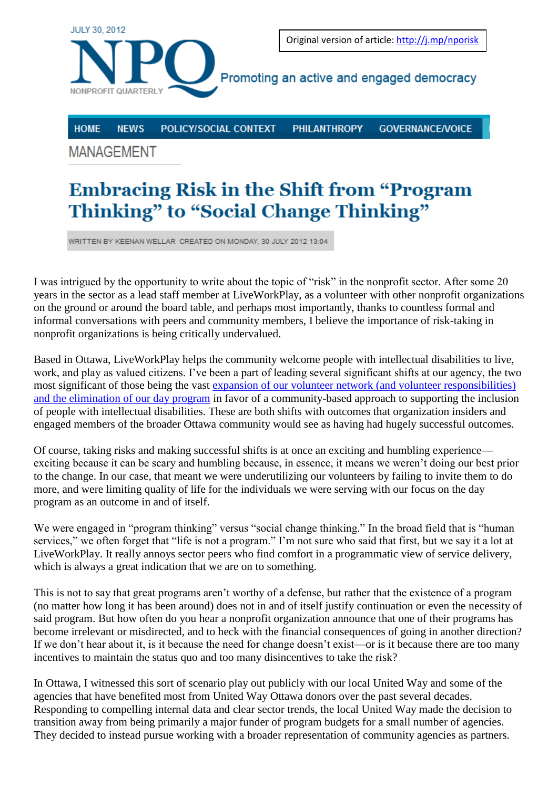

**HOME NEWS** POLICY/SOCIAL CONTEXT

**PHILANTHROPY** 

**GOVERNANCE/VOICE** 

**MANAGEMENT** 

## **Embracing Risk in the Shift from "Program"** Thinking" to "Social Change Thinking"

WRITTEN BY KEENAN WELLAR CREATED ON MONDAY, 30 JULY 2012 13:04

I was intrigued by the opportunity to write about the topic of "risk" in the nonprofit sector. After some 20 years in the sector as a lead staff member at LiveWorkPlay, as a volunteer with other nonprofit organizations on the ground or around the board table, and perhaps most importantly, thanks to countless formal and informal conversations with peers and community members, I believe the importance of risk-taking in nonprofit organizations is being critically undervalued.

Based in Ottawa, LiveWorkPlay helps the community welcome people with intellectual disabilities to live, work, and play as valued citizens. I've been a part of leading several significant shifts at our agency, the two most significant of those being the vast [expansion of our volunteer network \(and volunteer responsibilities\)](http://wp.me/1rIOM)  [and the elimination of our day program](http://wp.me/1rIOM) in favor of a community-based approach to supporting the inclusion of people with intellectual disabilities. These are both shifts with outcomes that organization insiders and engaged members of the broader Ottawa community would see as having had hugely successful outcomes.

Of course, taking risks and making successful shifts is at once an exciting and humbling experience exciting because it can be scary and humbling because, in essence, it means we weren't doing our best prior to the change. In our case, that meant we were underutilizing our volunteers by failing to invite them to do more, and were limiting quality of life for the individuals we were serving with our focus on the day program as an outcome in and of itself.

We were engaged in "program thinking" versus "social change thinking." In the broad field that is "human services," we often forget that "life is not a program." I'm not sure who said that first, but we say it a lot at LiveWorkPlay. It really annoys sector peers who find comfort in a programmatic view of service delivery, which is always a great indication that we are on to something.

This is not to say that great programs aren't worthy of a defense, but rather that the existence of a program (no matter how long it has been around) does not in and of itself justify continuation or even the necessity of said program. But how often do you hear a nonprofit organization announce that one of their programs has become irrelevant or misdirected, and to heck with the financial consequences of going in another direction? If we don't hear about it, is it because the need for change doesn't exist—or is it because there are too many incentives to maintain the status quo and too many disincentives to take the risk?

In Ottawa, I witnessed this sort of scenario play out publicly with our local United Way and some of the agencies that have benefited most from United Way Ottawa donors over the past several decades. Responding to compelling internal data and clear sector trends, the local United Way made the decision to transition away from being primarily a major funder of program budgets for a small number of agencies. They decided to instead pursue working with a broader representation of community agencies as partners.